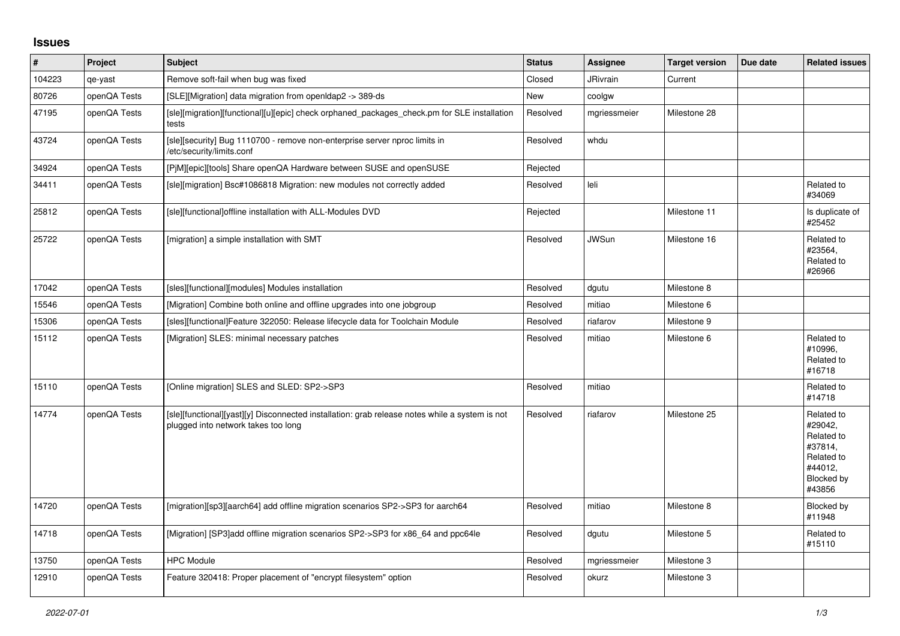## **Issues**

| $\vert$ # | Project      | <b>Subject</b>                                                                                                                        | <b>Status</b> | Assignee     | <b>Target version</b> | Due date | <b>Related issues</b>                                                                           |
|-----------|--------------|---------------------------------------------------------------------------------------------------------------------------------------|---------------|--------------|-----------------------|----------|-------------------------------------------------------------------------------------------------|
| 104223    | qe-yast      | Remove soft-fail when bug was fixed                                                                                                   | Closed        | JRivrain     | Current               |          |                                                                                                 |
| 80726     | openQA Tests | [SLE][Migration] data migration from openIdap2 -> 389-ds                                                                              | New           | coolgw       |                       |          |                                                                                                 |
| 47195     | openQA Tests | [sle][migration][functional][u][epic] check orphaned_packages_check.pm for SLE installation<br>tests                                  | Resolved      | mgriessmeier | Milestone 28          |          |                                                                                                 |
| 43724     | openQA Tests | [sle][security] Bug 1110700 - remove non-enterprise server nproc limits in<br>/etc/security/limits.conf                               | Resolved      | whdu         |                       |          |                                                                                                 |
| 34924     | openQA Tests | [PjM][epic][tools] Share openQA Hardware between SUSE and openSUSE                                                                    | Rejected      |              |                       |          |                                                                                                 |
| 34411     | openQA Tests | [sle][migration] Bsc#1086818 Migration: new modules not correctly added                                                               | Resolved      | leli         |                       |          | Related to<br>#34069                                                                            |
| 25812     | openQA Tests | [sle][functional]offline installation with ALL-Modules DVD                                                                            | Rejected      |              | Milestone 11          |          | Is duplicate of<br>#25452                                                                       |
| 25722     | openQA Tests | [migration] a simple installation with SMT                                                                                            | Resolved      | <b>JWSun</b> | Milestone 16          |          | Related to<br>#23564,<br>Related to<br>#26966                                                   |
| 17042     | openQA Tests | [sles][functional][modules] Modules installation                                                                                      | Resolved      | dgutu        | Milestone 8           |          |                                                                                                 |
| 15546     | openQA Tests | [Migration] Combine both online and offline upgrades into one jobgroup                                                                | Resolved      | mitiao       | Milestone 6           |          |                                                                                                 |
| 15306     | openQA Tests | [sles][functional]Feature 322050: Release lifecycle data for Toolchain Module                                                         | Resolved      | riafarov     | Milestone 9           |          |                                                                                                 |
| 15112     | openQA Tests | [Migration] SLES: minimal necessary patches                                                                                           | Resolved      | mitiao       | Milestone 6           |          | Related to<br>#10996,<br>Related to<br>#16718                                                   |
| 15110     | openQA Tests | [Online migration] SLES and SLED: SP2->SP3                                                                                            | Resolved      | mitiao       |                       |          | Related to<br>#14718                                                                            |
| 14774     | openQA Tests | [sle][functional][yast][y] Disconnected installation: grab release notes while a system is not<br>plugged into network takes too long | Resolved      | riafarov     | Milestone 25          |          | Related to<br>#29042,<br>Related to<br>#37814,<br>Related to<br>#44012,<br>Blocked by<br>#43856 |
| 14720     | openQA Tests | [migration][sp3][aarch64] add offline migration scenarios SP2->SP3 for aarch64                                                        | Resolved      | mitiao       | Milestone 8           |          | Blocked by<br>#11948                                                                            |
| 14718     | openQA Tests | [Migration] [SP3] add offline migration scenarios SP2->SP3 for x86 64 and ppc64le                                                     | Resolved      | dgutu        | Milestone 5           |          | Related to<br>#15110                                                                            |
| 13750     | openQA Tests | <b>HPC Module</b>                                                                                                                     | Resolved      | mgriessmeier | Milestone 3           |          |                                                                                                 |
| 12910     | openQA Tests | Feature 320418: Proper placement of "encrypt filesystem" option                                                                       | Resolved      | okurz        | Milestone 3           |          |                                                                                                 |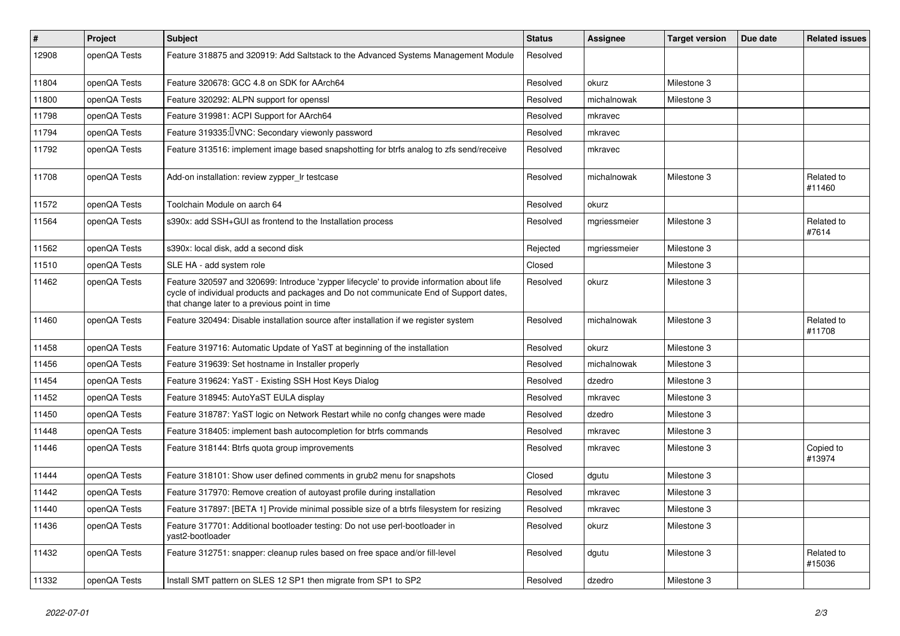| $\vert$ # | <b>Project</b> | <b>Subject</b>                                                                                                                                                                                                                       | <b>Status</b> | <b>Assignee</b> | <b>Target version</b> | Due date | <b>Related issues</b> |
|-----------|----------------|--------------------------------------------------------------------------------------------------------------------------------------------------------------------------------------------------------------------------------------|---------------|-----------------|-----------------------|----------|-----------------------|
| 12908     | openQA Tests   | Feature 318875 and 320919: Add Saltstack to the Advanced Systems Management Module                                                                                                                                                   | Resolved      |                 |                       |          |                       |
| 11804     | openQA Tests   | Feature 320678: GCC 4.8 on SDK for AArch64                                                                                                                                                                                           | Resolved      | okurz           | Milestone 3           |          |                       |
| 11800     | openQA Tests   | Feature 320292: ALPN support for openssl                                                                                                                                                                                             | Resolved      | michalnowak     | Milestone 3           |          |                       |
| 11798     | openQA Tests   | Feature 319981: ACPI Support for AArch64                                                                                                                                                                                             | Resolved      | mkravec         |                       |          |                       |
| 11794     | openQA Tests   | Feature 319335: VNC: Secondary viewonly password                                                                                                                                                                                     | Resolved      | mkravec         |                       |          |                       |
| 11792     | openQA Tests   | Feature 313516: implement image based snapshotting for btrfs analog to zfs send/receive                                                                                                                                              | Resolved      | mkravec         |                       |          |                       |
| 11708     | openQA Tests   | Add-on installation: review zypper Ir testcase                                                                                                                                                                                       | Resolved      | michalnowak     | Milestone 3           |          | Related to<br>#11460  |
| 11572     | openQA Tests   | Toolchain Module on aarch 64                                                                                                                                                                                                         | Resolved      | okurz           |                       |          |                       |
| 11564     | openQA Tests   | s390x: add SSH+GUI as frontend to the Installation process                                                                                                                                                                           | Resolved      | mgriessmeier    | Milestone 3           |          | Related to<br>#7614   |
| 11562     | openQA Tests   | s390x: local disk, add a second disk                                                                                                                                                                                                 | Rejected      | mgriessmeier    | Milestone 3           |          |                       |
| 11510     | openQA Tests   | SLE HA - add system role                                                                                                                                                                                                             | Closed        |                 | Milestone 3           |          |                       |
| 11462     | openQA Tests   | Feature 320597 and 320699: Introduce 'zypper lifecycle' to provide information about life<br>cycle of individual products and packages and Do not communicate End of Support dates,<br>that change later to a previous point in time | Resolved      | okurz           | Milestone 3           |          |                       |
| 11460     | openQA Tests   | Feature 320494: Disable installation source after installation if we register system                                                                                                                                                 | Resolved      | michalnowak     | Milestone 3           |          | Related to<br>#11708  |
| 11458     | openQA Tests   | Feature 319716: Automatic Update of YaST at beginning of the installation                                                                                                                                                            | Resolved      | okurz           | Milestone 3           |          |                       |
| 11456     | openQA Tests   | Feature 319639: Set hostname in Installer properly                                                                                                                                                                                   | Resolved      | michalnowak     | Milestone 3           |          |                       |
| 11454     | openQA Tests   | Feature 319624: YaST - Existing SSH Host Keys Dialog                                                                                                                                                                                 | Resolved      | dzedro          | Milestone 3           |          |                       |
| 11452     | openQA Tests   | Feature 318945: AutoYaST EULA display                                                                                                                                                                                                | Resolved      | mkravec         | Milestone 3           |          |                       |
| 11450     | openQA Tests   | Feature 318787: YaST logic on Network Restart while no confg changes were made                                                                                                                                                       | Resolved      | dzedro          | Milestone 3           |          |                       |
| 11448     | openQA Tests   | Feature 318405: implement bash autocompletion for btrfs commands                                                                                                                                                                     | Resolved      | mkravec         | Milestone 3           |          |                       |
| 11446     | openQA Tests   | Feature 318144: Btrfs quota group improvements                                                                                                                                                                                       | Resolved      | mkravec         | Milestone 3           |          | Copied to<br>#13974   |
| 11444     | openQA Tests   | Feature 318101: Show user defined comments in grub2 menu for snapshots                                                                                                                                                               | Closed        | dgutu           | Milestone 3           |          |                       |
| 11442     | openQA Tests   | Feature 317970: Remove creation of autoyast profile during installation                                                                                                                                                              | Resolved      | mkravec         | Milestone 3           |          |                       |
| 11440     | openQA Tests   | Feature 317897: [BETA 1] Provide minimal possible size of a btrfs filesystem for resizing                                                                                                                                            | Resolved      | mkravec         | Milestone 3           |          |                       |
| 11436     | openQA Tests   | Feature 317701: Additional bootloader testing: Do not use perl-bootloader in<br>vast2-bootloader                                                                                                                                     | Resolved      | okurz           | Milestone 3           |          |                       |
| 11432     | openQA Tests   | Feature 312751: snapper: cleanup rules based on free space and/or fill-level                                                                                                                                                         | Resolved      | dgutu           | Milestone 3           |          | Related to<br>#15036  |
| 11332     | openQA Tests   | Install SMT pattern on SLES 12 SP1 then migrate from SP1 to SP2                                                                                                                                                                      | Resolved      | dzedro          | Milestone 3           |          |                       |